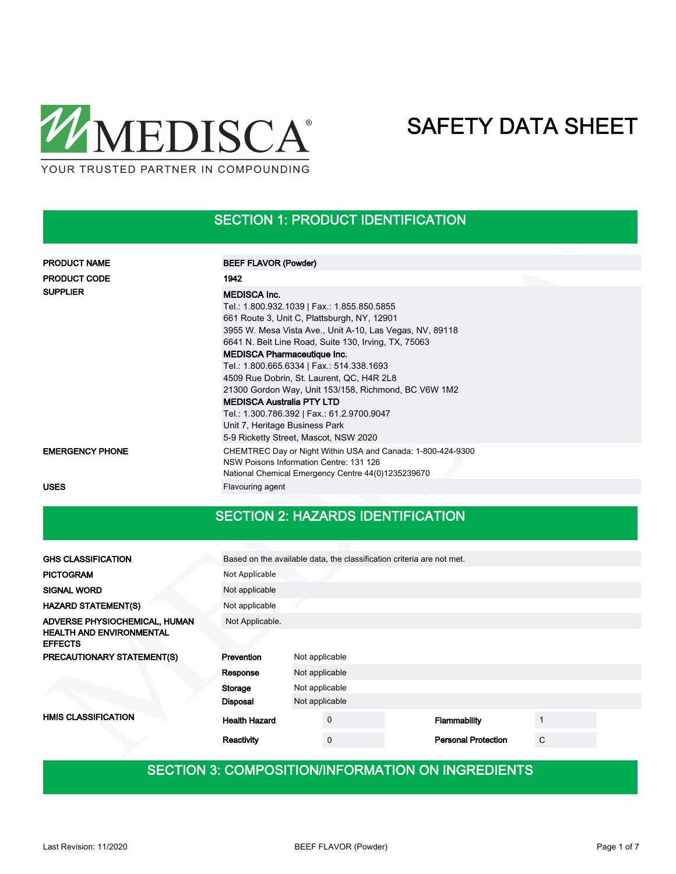

#### SECTION 1: PRODUCT IDENTIFICATION

| <b>PRODUCT NAME</b>    | <b>BEEF FLAVOR (Powder)</b>                                                                                                                                  |  |  |  |  |  |
|------------------------|--------------------------------------------------------------------------------------------------------------------------------------------------------------|--|--|--|--|--|
| <b>PRODUCT CODE</b>    | 1942                                                                                                                                                         |  |  |  |  |  |
| <b>SUPPLIER</b>        | <b>MEDISCA Inc.</b>                                                                                                                                          |  |  |  |  |  |
|                        | Tel.: 1.800.932.1039   Fax.: 1.855.850.5855                                                                                                                  |  |  |  |  |  |
|                        | 661 Route 3, Unit C, Plattsburgh, NY, 12901                                                                                                                  |  |  |  |  |  |
|                        | 3955 W. Mesa Vista Ave., Unit A-10, Las Vegas, NV, 89118                                                                                                     |  |  |  |  |  |
|                        | 6641 N. Belt Line Road, Suite 130, Irving, TX, 75063                                                                                                         |  |  |  |  |  |
|                        | <b>MEDISCA Pharmaceutique Inc.</b>                                                                                                                           |  |  |  |  |  |
|                        | Tel.: 1.800.665.6334   Fax.: 514.338.1693                                                                                                                    |  |  |  |  |  |
|                        | 4509 Rue Dobrin, St. Laurent, QC, H4R 2L8                                                                                                                    |  |  |  |  |  |
|                        | 21300 Gordon Way, Unit 153/158, Richmond, BC V6W 1M2                                                                                                         |  |  |  |  |  |
|                        | <b>MEDISCA Australia PTY LTD</b>                                                                                                                             |  |  |  |  |  |
|                        | Tel.: 1.300.786.392   Fax.: 61.2.9700.9047                                                                                                                   |  |  |  |  |  |
|                        | Unit 7, Heritage Business Park                                                                                                                               |  |  |  |  |  |
|                        | 5-9 Ricketty Street, Mascot, NSW 2020                                                                                                                        |  |  |  |  |  |
| <b>EMERGENCY PHONE</b> | CHEMTREC Day or Night Within USA and Canada: 1-800-424-9300<br>NSW Poisons Information Centre: 131 126<br>National Chemical Emergency Centre 44(0)1235239670 |  |  |  |  |  |
| <b>USES</b>            | Flavouring agent                                                                                                                                             |  |  |  |  |  |

#### SECTION 2: HAZARDS IDENTIFICATION

| <b>GHS CLASSIFICATION</b>                         | Based on the available data, the classification criteria are not met. |                |             |  |                            |   |  |  |
|---------------------------------------------------|-----------------------------------------------------------------------|----------------|-------------|--|----------------------------|---|--|--|
| <b>PICTOGRAM</b>                                  | Not Applicable                                                        |                |             |  |                            |   |  |  |
| <b>SIGNAL WORD</b>                                | Not applicable                                                        |                |             |  |                            |   |  |  |
| <b>HAZARD STATEMENT(S)</b>                        | Not applicable                                                        |                |             |  |                            |   |  |  |
| ADVERSE PHYSIOCHEMICAL, HUMAN                     | Not Applicable.                                                       |                |             |  |                            |   |  |  |
| <b>HEALTH AND ENVIRONMENTAL</b><br><b>EFFECTS</b> |                                                                       |                |             |  |                            |   |  |  |
| PRECAUTIONARY STATEMENT(S)                        | Prevention                                                            | Not applicable |             |  |                            |   |  |  |
|                                                   | Response                                                              | Not applicable |             |  |                            |   |  |  |
|                                                   | Storage                                                               | Not applicable |             |  |                            |   |  |  |
|                                                   | <b>Disposal</b>                                                       | Not applicable |             |  |                            |   |  |  |
| <b>HMIS CLASSIFICATION</b>                        | <b>Health Hazard</b>                                                  |                | $\mathbf 0$ |  | Flammability               |   |  |  |
|                                                   | Reactivity                                                            |                | $\mathbf 0$ |  | <b>Personal Protection</b> | C |  |  |

### SECTION 3: COMPOSITION/INFORMATION ON INGREDIENTS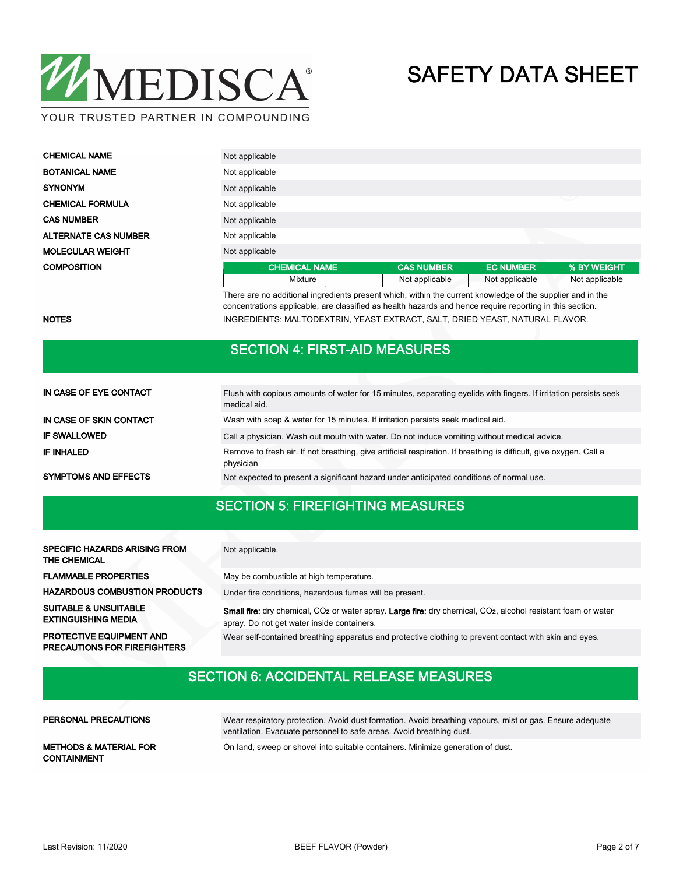

| <b>CHEMICAL NAME</b>        | Not applicable       |                   |                  |                |  |  |  |  |
|-----------------------------|----------------------|-------------------|------------------|----------------|--|--|--|--|
| <b>BOTANICAL NAME</b>       | Not applicable       |                   |                  |                |  |  |  |  |
| <b>SYNONYM</b>              | Not applicable       |                   |                  |                |  |  |  |  |
| <b>CHEMICAL FORMULA</b>     | ◡<br>Not applicable  |                   |                  |                |  |  |  |  |
| <b>CAS NUMBER</b>           | Not applicable       |                   |                  |                |  |  |  |  |
| <b>ALTERNATE CAS NUMBER</b> | Not applicable       |                   |                  |                |  |  |  |  |
| <b>MOLECULAR WEIGHT</b>     | Not applicable       |                   |                  |                |  |  |  |  |
| <b>COMPOSITION</b>          | <b>CHEMICAL NAME</b> | <b>CAS NUMBER</b> | <b>EC NUMBER</b> | % BY WEIGHT    |  |  |  |  |
|                             | Mixture              | Not applicable    | Not applicable   | Not applicable |  |  |  |  |

There are no additional ingredients present which, within the current knowledge of the supplier and in the concentrations applicable, are classified as health hazards and hence require reporting in this section. NOTES **INGREDIENTS: MALTODEXTRIN, YEAST EXTRACT, SALT, DRIED YEAST, NATURAL FLAVOR.** 

#### SECTION 4: FIRST-AID MEASURES

| IN CASE OF EYE CONTACT      | Flush with copious amounts of water for 15 minutes, separating eyelids with fingers. If irritation persists seek<br>medical aid. |
|-----------------------------|----------------------------------------------------------------------------------------------------------------------------------|
| IN CASE OF SKIN CONTACT     | Wash with soap & water for 15 minutes. If irritation persists seek medical aid.                                                  |
| <b>IF SWALLOWED</b>         | Call a physician. Wash out mouth with water. Do not induce vomiting without medical advice.                                      |
| IF INHALED                  | Remove to fresh air. If not breathing, give artificial respiration. If breathing is difficult, give oxygen. Call a<br>physician  |
| <b>SYMPTOMS AND EFFECTS</b> | Not expected to present a significant hazard under anticipated conditions of normal use.                                         |

#### SECTION 5: FIREFIGHTING MEASURES

| <b>SPECIFIC HAZARDS ARISING FROM</b><br>THE CHEMICAL                   | Not applicable.                                                                                                                                                                            |
|------------------------------------------------------------------------|--------------------------------------------------------------------------------------------------------------------------------------------------------------------------------------------|
| <b>FLAMMABLE PROPERTIES</b>                                            | May be combustible at high temperature.                                                                                                                                                    |
| <b>HAZARDOUS COMBUSTION PRODUCTS</b>                                   | Under fire conditions, hazardous fumes will be present.                                                                                                                                    |
| <b>SUITABLE &amp; UNSUITABLE</b><br><b>EXTINGUISHING MEDIA</b>         | <b>Small fire:</b> dry chemical, CO <sub>2</sub> or water spray. Large fire: dry chemical, CO <sub>2</sub> , alcohol resistant foam or water<br>spray. Do not get water inside containers. |
| <b>PROTECTIVE EQUIPMENT AND</b><br><b>PRECAUTIONS FOR FIREFIGHTERS</b> | Wear self-contained breathing apparatus and protective clothing to prevent contact with skin and eyes.                                                                                     |

### SECTION 6: ACCIDENTAL RELEASE MEASURES

| PERSONAL PRECAUTIONS                                    | Wear respiratory protection. Avoid dust formation. Avoid breathing vapours, mist or gas. Ensure adequate<br>ventilation. Evacuate personnel to safe areas. Avoid breathing dust. |
|---------------------------------------------------------|----------------------------------------------------------------------------------------------------------------------------------------------------------------------------------|
| <b>METHODS &amp; MATERIAL FOR</b><br><b>CONTAINMENT</b> | On land, sweep or shovel into suitable containers. Minimize generation of dust.                                                                                                  |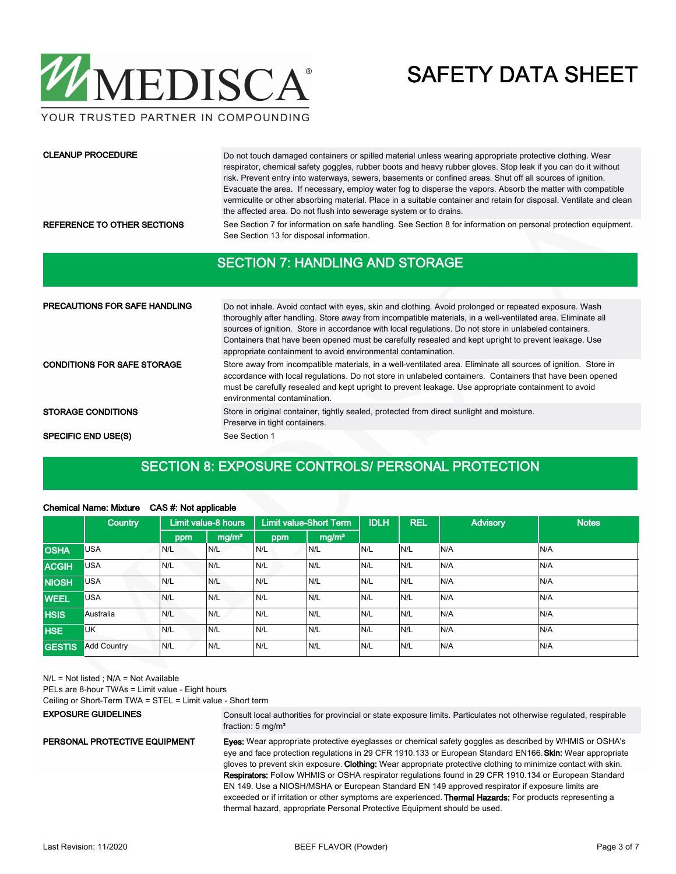

YOUR TRUSTED PARTNER IN COMPOUNDING

#### CLEANUP PROCEDURE

Do not touch damaged containers or spilled material unless wearing appropriate protective clothing. Wear respirator, chemical safety goggles, rubber boots and heavy rubber gloves. Stop leak if you can do it without risk. Prevent entry into waterways, sewers, basements or confined areas. Shut off all sources of ignition. Evacuate the area. If necessary, employ water fog to disperse the vapors. Absorb the matter with compatible vermiculite or other absorbing material. Place in a suitable container and retain for disposal. Ventilate and clean the affected area. Do not flush into sewerage system or to drains.

REFERENCE TO OTHER SECTIONS See Section 7 for information on safe handling. See Section 8 for information on personal protection equipment. See Section 13 for disposal information.

#### SECTION 7: HANDLING AND STORAGE

| <b>PRECAUTIONS FOR SAFE HANDLING</b> | Do not inhale. Avoid contact with eyes, skin and clothing. Avoid prolonged or repeated exposure. Wash<br>thoroughly after handling. Store away from incompatible materials, in a well-ventilated area. Eliminate all<br>sources of ignition. Store in accordance with local regulations. Do not store in unlabeled containers.<br>Containers that have been opened must be carefully resealed and kept upright to prevent leakage. Use<br>appropriate containment to avoid environmental contamination. |  |  |  |  |
|--------------------------------------|---------------------------------------------------------------------------------------------------------------------------------------------------------------------------------------------------------------------------------------------------------------------------------------------------------------------------------------------------------------------------------------------------------------------------------------------------------------------------------------------------------|--|--|--|--|
| <b>CONDITIONS FOR SAFE STORAGE</b>   | Store away from incompatible materials, in a well-ventilated area. Eliminate all sources of ignition. Store in<br>accordance with local regulations. Do not store in unlabeled containers. Containers that have been opened<br>must be carefully resealed and kept upright to prevent leakage. Use appropriate containment to avoid<br>environmental contamination.                                                                                                                                     |  |  |  |  |
| <b>STORAGE CONDITIONS</b>            | Store in original container, tightly sealed, protected from direct sunlight and moisture.<br>Preserve in tight containers.                                                                                                                                                                                                                                                                                                                                                                              |  |  |  |  |
| <b>SPECIFIC END USE(S)</b>           | See Section 1                                                                                                                                                                                                                                                                                                                                                                                                                                                                                           |  |  |  |  |

#### SECTION 8: EXPOSURE CONTROLS/ PERSONAL PROTECTION

| <b>Chemical Name: Mixture</b><br>CAS #: Not applicable |                    |     |                     |     |                               |             |            |                 |              |
|--------------------------------------------------------|--------------------|-----|---------------------|-----|-------------------------------|-------------|------------|-----------------|--------------|
|                                                        | <b>Country</b>     |     | Limit value-8 hours |     | <b>Limit value-Short Term</b> | <b>IDLH</b> | <b>REL</b> | <b>Advisory</b> | <b>Notes</b> |
|                                                        |                    | ppm | mg/m <sup>3</sup>   | ppm | mg/m <sup>3</sup>             |             |            |                 |              |
| <b>OSHA</b>                                            | <b>USA</b>         | N/L | N/L                 | N/L | N/L                           | N/L         | N/L        | N/A             | N/A          |
| <b>ACGIH</b>                                           | <b>USA</b>         | N/L | N/L                 | N/L | N/L                           | N/L         | N/L        | N/A             | N/A          |
| <b>NIOSH</b>                                           | <b>USA</b>         | N/L | N/L                 | N/L | N/L                           | N/L         | N/L        | N/A             | N/A          |
| <b>WEEL</b>                                            | <b>USA</b>         | N/L | N/L                 | N/L | N/L                           | N/L         | N/L        | N/A             | N/A          |
| <b>HSIS</b>                                            | Australia          | N/L | N/L                 | N/L | N/L                           | N/L         | N/L        | N/A             | N/A          |
| <b>HSE</b>                                             | <b>UK</b>          | N/L | N/L                 | N/L | N/L                           | N/L         | N/L        | N/A             | N/A          |
| <b>GESTIS</b>                                          | <b>Add Country</b> | N/L | N/L                 | N/L | N/L                           | N/L         | N/L        | N/A             | N/A          |

N/L = Not listed ; N/A = Not Available

PELs are 8-hour TWAs = Limit value - Eight hours

Ceiling or Short-Term TWA = STEL = Limit value - Short term

#### EXPOSURE GUIDELINES

Consult local authorities for provincial or state exposure limits. Particulates not otherwise regulated, respirable fraction: 5 mg/m<sup>3</sup>

#### PERSONAL PROTECTIVE EQUIPMENT

Eyes: Wear appropriate protective eyeglasses or chemical safety goggles as described by WHMIS or OSHA's eye and face protection regulations in 29 CFR 1910.133 or European Standard EN166. Skin: Wear appropriate

gloves to prevent skin exposure. Clothing: Wear appropriate protective clothing to minimize contact with skin. Respirators: Follow WHMIS or OSHA respirator regulations found in 29 CFR 1910.134 or European Standard EN 149. Use a NIOSH/MSHA or European Standard EN 149 approved respirator if exposure limits are exceeded or if irritation or other symptoms are experienced. Thermal Hazards: For products representing a thermal hazard, appropriate Personal Protective Equipment should be used.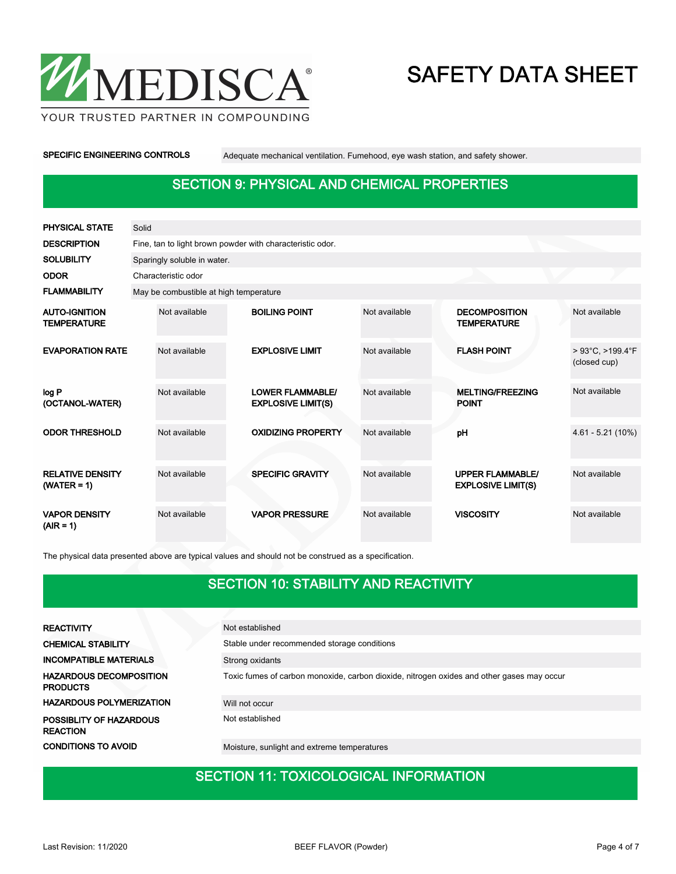

YOUR TRUSTED PARTNER IN COMPOUNDING

SPECIFIC ENGINEERING CONTROLS Adequate mechanical ventilation. Fumehood, eye wash station, and safety shower.

### SECTION 9: PHYSICAL AND CHEMICAL PROPERTIES

| PHYSICAL STATE                             | Solid |                                                           |  |                                                      |               |  |                                                      |                                  |  |  |  |  |
|--------------------------------------------|-------|-----------------------------------------------------------|--|------------------------------------------------------|---------------|--|------------------------------------------------------|----------------------------------|--|--|--|--|
| <b>DESCRIPTION</b>                         |       | Fine, tan to light brown powder with characteristic odor. |  |                                                      |               |  |                                                      |                                  |  |  |  |  |
| <b>SOLUBILITY</b>                          |       | Sparingly soluble in water.                               |  |                                                      |               |  |                                                      |                                  |  |  |  |  |
| <b>ODOR</b>                                |       | Characteristic odor                                       |  |                                                      |               |  |                                                      |                                  |  |  |  |  |
| <b>FLAMMABILITY</b>                        |       | May be combustible at high temperature                    |  |                                                      |               |  |                                                      |                                  |  |  |  |  |
| <b>AUTO-IGNITION</b><br><b>TEMPERATURE</b> |       | Not available                                             |  | <b>BOILING POINT</b>                                 | Not available |  | <b>DECOMPOSITION</b><br><b>TEMPERATURE</b>           | Not available                    |  |  |  |  |
| <b>EVAPORATION RATE</b>                    |       | Not available                                             |  | <b>EXPLOSIVE LIMIT</b>                               | Not available |  | <b>FLASH POINT</b>                                   | > 93°C, >199.4°F<br>(closed cup) |  |  |  |  |
| log P<br>(OCTANOL-WATER)                   |       | Not available                                             |  | <b>LOWER FLAMMABLE/</b><br><b>EXPLOSIVE LIMIT(S)</b> | Not available |  | <b>MELTING/FREEZING</b><br><b>POINT</b>              | Not available                    |  |  |  |  |
| <b>ODOR THRESHOLD</b>                      |       | Not available                                             |  | <b>OXIDIZING PROPERTY</b>                            | Not available |  | pH                                                   | $4.61 - 5.21(10%)$               |  |  |  |  |
| <b>RELATIVE DENSITY</b><br>$(WATER = 1)$   |       | Not available                                             |  | <b>SPECIFIC GRAVITY</b>                              | Not available |  | <b>UPPER FLAMMABLE/</b><br><b>EXPLOSIVE LIMIT(S)</b> | Not available                    |  |  |  |  |
| <b>VAPOR DENSITY</b><br>$(AIR = 1)$        |       | Not available                                             |  | <b>VAPOR PRESSURE</b>                                | Not available |  | <b>VISCOSITY</b>                                     | Not available                    |  |  |  |  |

The physical data presented above are typical values and should not be construed as a specification.

#### SECTION 10: STABILITY AND REACTIVITY

| <b>REACTIVITY</b>                                 | Not established                                                                           |
|---------------------------------------------------|-------------------------------------------------------------------------------------------|
| <b>CHEMICAL STABILITY</b>                         | Stable under recommended storage conditions                                               |
| <b>INCOMPATIBLE MATERIALS</b>                     | Strong oxidants                                                                           |
| <b>HAZARDOUS DECOMPOSITION</b><br><b>PRODUCTS</b> | Toxic fumes of carbon monoxide, carbon dioxide, nitrogen oxides and other gases may occur |
| <b>HAZARDOUS POLYMERIZATION</b>                   | Will not occur                                                                            |
| POSSIBLITY OF HAZARDOUS<br><b>REACTION</b>        | Not established                                                                           |
| <b>CONDITIONS TO AVOID</b>                        | Moisture, sunlight and extreme temperatures                                               |

### SECTION 11: TOXICOLOGICAL INFORMATION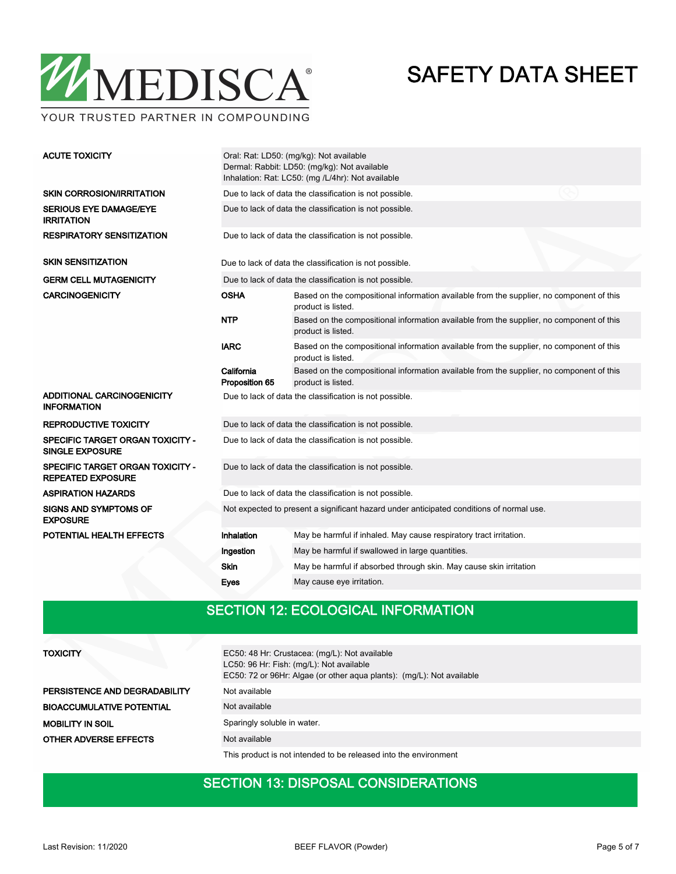

YOUR TRUSTED PARTNER IN COMPOUNDING

| <b>ACUTE TOXICITY</b>                                             | Oral: Rat: LD50: (mg/kg): Not available<br>Dermal: Rabbit: LD50: (mg/kg): Not available<br>Inhalation: Rat: LC50: (mg /L/4hr): Not available   |                                                                                                                |  |  |  |  |  |  |  |
|-------------------------------------------------------------------|------------------------------------------------------------------------------------------------------------------------------------------------|----------------------------------------------------------------------------------------------------------------|--|--|--|--|--|--|--|
| <b>SKIN CORROSION/IRRITATION</b>                                  | Due to lack of data the classification is not possible.                                                                                        |                                                                                                                |  |  |  |  |  |  |  |
| <b>SERIOUS EYE DAMAGE/EYE</b><br><b>IRRITATION</b>                | Due to lack of data the classification is not possible.                                                                                        |                                                                                                                |  |  |  |  |  |  |  |
| <b>RESPIRATORY SENSITIZATION</b>                                  | Due to lack of data the classification is not possible.                                                                                        |                                                                                                                |  |  |  |  |  |  |  |
| <b>SKIN SENSITIZATION</b>                                         | Due to lack of data the classification is not possible.                                                                                        |                                                                                                                |  |  |  |  |  |  |  |
| <b>GERM CELL MUTAGENICITY</b>                                     |                                                                                                                                                | Due to lack of data the classification is not possible.                                                        |  |  |  |  |  |  |  |
| <b>CARCINOGENICITY</b>                                            | OSHA                                                                                                                                           | Based on the compositional information available from the supplier, no component of this<br>product is listed. |  |  |  |  |  |  |  |
|                                                                   | <b>NTP</b>                                                                                                                                     | Based on the compositional information available from the supplier, no component of this<br>product is listed. |  |  |  |  |  |  |  |
|                                                                   | <b>IARC</b>                                                                                                                                    | Based on the compositional information available from the supplier, no component of this<br>product is listed. |  |  |  |  |  |  |  |
|                                                                   | California<br>Based on the compositional information available from the supplier, no component of this<br>Proposition 65<br>product is listed. |                                                                                                                |  |  |  |  |  |  |  |
| ADDITIONAL CARCINOGENICITY<br><b>INFORMATION</b>                  | Due to lack of data the classification is not possible.                                                                                        |                                                                                                                |  |  |  |  |  |  |  |
| <b>REPRODUCTIVE TOXICITY</b>                                      | Due to lack of data the classification is not possible.                                                                                        |                                                                                                                |  |  |  |  |  |  |  |
| <b>SPECIFIC TARGET ORGAN TOXICITY -</b><br><b>SINGLE EXPOSURE</b> | Due to lack of data the classification is not possible.                                                                                        |                                                                                                                |  |  |  |  |  |  |  |
| SPECIFIC TARGET ORGAN TOXICITY -<br><b>REPEATED EXPOSURE</b>      | Due to lack of data the classification is not possible.                                                                                        |                                                                                                                |  |  |  |  |  |  |  |
| <b>ASPIRATION HAZARDS</b>                                         | Due to lack of data the classification is not possible.                                                                                        |                                                                                                                |  |  |  |  |  |  |  |
| <b>SIGNS AND SYMPTOMS OF</b><br><b>EXPOSURE</b>                   | Not expected to present a significant hazard under anticipated conditions of normal use.                                                       |                                                                                                                |  |  |  |  |  |  |  |
| POTENTIAL HEALTH EFFECTS                                          | Inhalation                                                                                                                                     | May be harmful if inhaled. May cause respiratory tract irritation.                                             |  |  |  |  |  |  |  |
|                                                                   | Ingestion                                                                                                                                      | May be harmful if swallowed in large quantities.                                                               |  |  |  |  |  |  |  |
|                                                                   | <b>Skin</b>                                                                                                                                    | May be harmful if absorbed through skin. May cause skin irritation                                             |  |  |  |  |  |  |  |
|                                                                   | May cause eye irritation.<br>Eyes                                                                                                              |                                                                                                                |  |  |  |  |  |  |  |

### SECTION 12: ECOLOGICAL INFORMATION

| <b>TOXICITY</b>                  | EC50: 48 Hr: Crustacea: (mg/L): Not available<br>LC50: 96 Hr: Fish: (mg/L): Not available<br>EC50: 72 or 96Hr: Algae (or other aqua plants): (mg/L): Not available |
|----------------------------------|--------------------------------------------------------------------------------------------------------------------------------------------------------------------|
| PERSISTENCE AND DEGRADABILITY    | Not available                                                                                                                                                      |
| <b>BIOACCUMULATIVE POTENTIAL</b> | Not available                                                                                                                                                      |
| <b>MOBILITY IN SOIL</b>          | Sparingly soluble in water.                                                                                                                                        |
| <b>OTHER ADVERSE EFFECTS</b>     | Not available                                                                                                                                                      |
|                                  | This product is not intended to be released into the environment                                                                                                   |

#### SECTION 13: DISPOSAL CONSIDERATIONS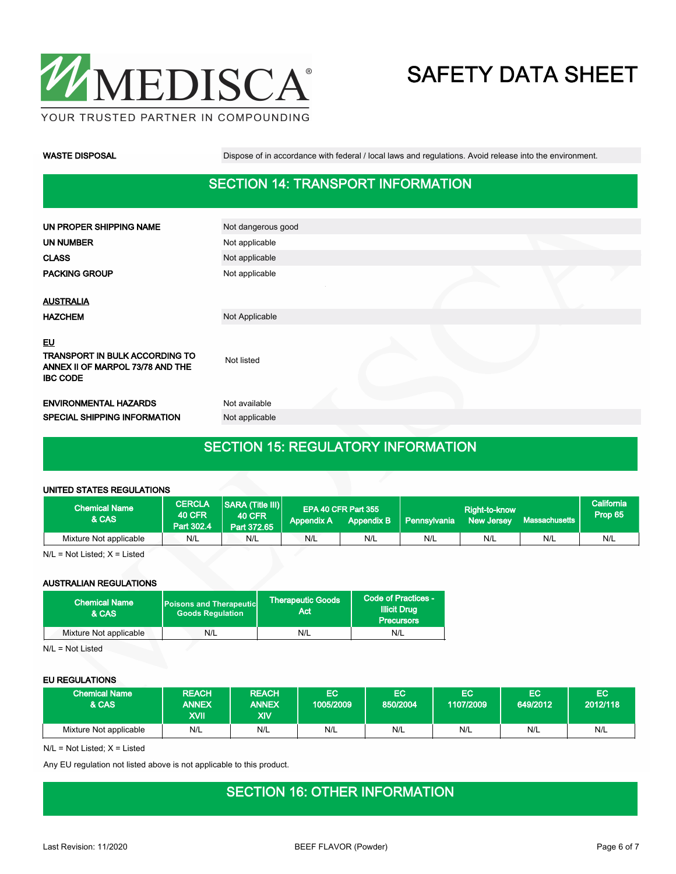

WASTE DISPOSAL **Dispose of in accordance with federal / local laws and regulations**. Avoid release into the environment.

### SECTION 14: TRANSPORT INFORMATION

| UN PROPER SHIPPING NAME                                                                            | Not dangerous good |  |  |
|----------------------------------------------------------------------------------------------------|--------------------|--|--|
| <b>UN NUMBER</b>                                                                                   | Not applicable     |  |  |
| <b>CLASS</b>                                                                                       | Not applicable     |  |  |
| <b>PACKING GROUP</b>                                                                               | Not applicable     |  |  |
|                                                                                                    |                    |  |  |
| <b>AUSTRALIA</b>                                                                                   |                    |  |  |
| <b>HAZCHEM</b>                                                                                     | Not Applicable     |  |  |
| EU<br><b>TRANSPORT IN BULK ACCORDING TO</b><br>ANNEX II OF MARPOL 73/78 AND THE<br><b>IBC CODE</b> | Not listed         |  |  |
| <b>ENVIRONMENTAL HAZARDS</b>                                                                       | Not available      |  |  |
| SPECIAL SHIPPING INFORMATION                                                                       | Not applicable     |  |  |
|                                                                                                    |                    |  |  |

### SECTION 15: REGULATORY INFORMATION

#### UNITED STATES REGULATIONS

| <b>Chemical Name</b><br>& CAS | <b>CERCLA</b><br><b>40 CFR</b><br>Part 302.4 | <b>SARA (Title III)</b><br><b>40 CFR</b><br>Part 372.65 | <b>Appendix A</b> | EPA 40 CFR Part 355<br><b>Appendix B</b> | Pennsylvania | Right-to-know<br><b>New Jersey</b> | Massachusetts | California <sup>1</sup><br>Prop 65 |
|-------------------------------|----------------------------------------------|---------------------------------------------------------|-------------------|------------------------------------------|--------------|------------------------------------|---------------|------------------------------------|
| Mixture Not applicable        | N/L                                          | N/L                                                     | N/L               | N/L                                      | N/L          | N/L                                | N/L           | N/L                                |

N/L = Not Listed; X = Listed

#### AUSTRALIAN REGULATIONS

| <b>Chemical Name</b><br>& CAS | <b>Poisons and Therapeutic</b><br><b>Goods Regulation</b> | <b>Therapeutic Goods</b><br>Act | Code of Practices -<br><b>Illicit Drug</b><br><b>Precursors</b> |
|-------------------------------|-----------------------------------------------------------|---------------------------------|-----------------------------------------------------------------|
| Mixture Not applicable        | N/L                                                       | N/L                             | N/L                                                             |

N/L = Not Listed

#### EU REGULATIONS

| <b>Chemical Name</b><br><b>&amp; CAS</b> | <b>REACH</b><br><b>ANNEX</b><br><b>IIVX</b> | <b>REACH</b><br><b>ANNEX</b><br>XIV | EC<br>1005/2009 | EC<br>850/2004 | EC<br>1107/2009 | EC<br>649/2012 | EC<br>2012/118 |
|------------------------------------------|---------------------------------------------|-------------------------------------|-----------------|----------------|-----------------|----------------|----------------|
| Mixture Not applicable                   | N/L                                         | N/L                                 | N/L             | N/L            | N/L             | N/L            | N/L            |

 $N/L$  = Not Listed;  $X =$  Listed

Any EU regulation not listed above is not applicable to this product.

#### SECTION 16: OTHER INFORMATION